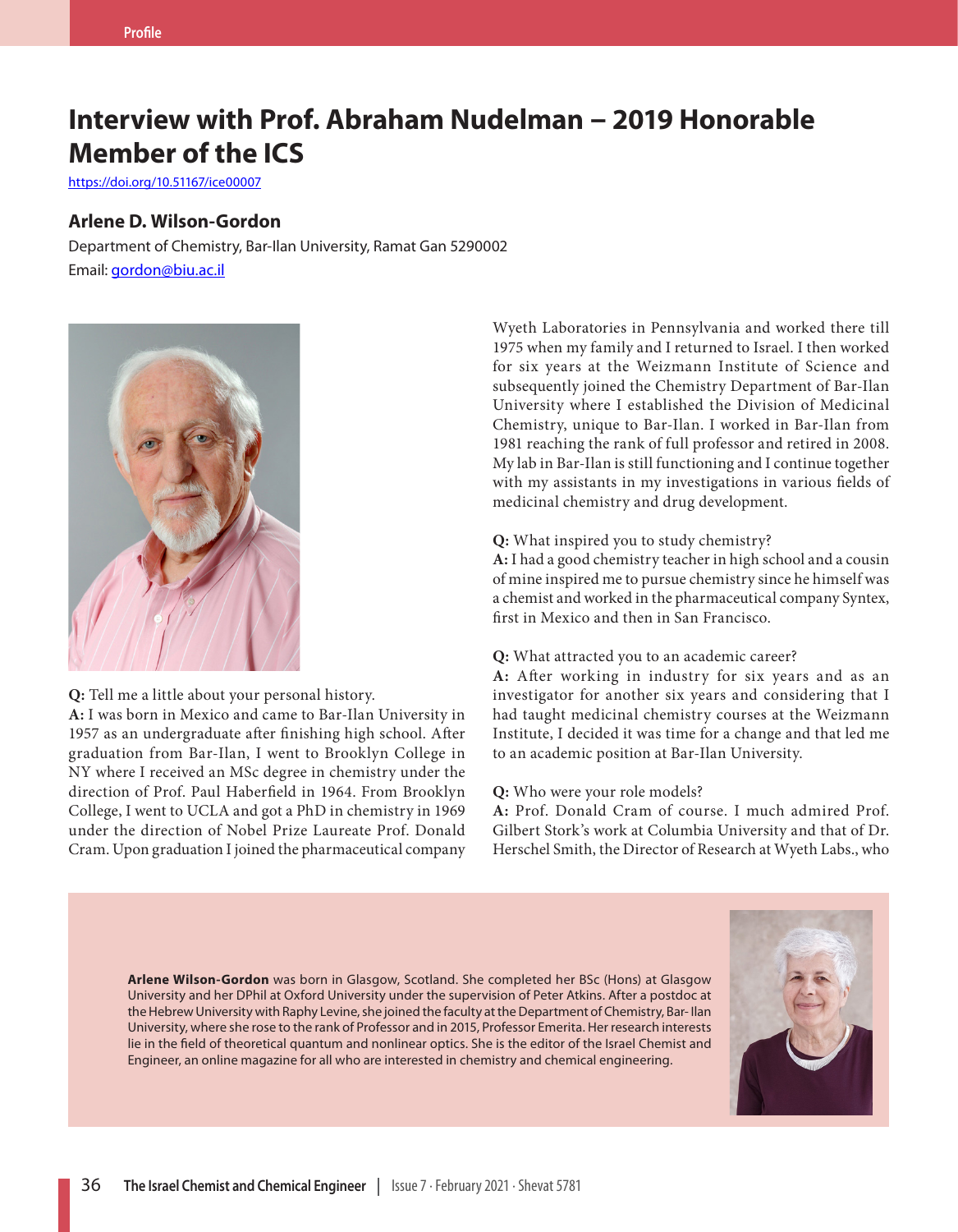## **Interview with Prof. Abraham Nudelman – 2019 Honorable Member of the ICS**

https://doi.org/10.51167/ice00007

#### **Arlene D. Wilson-Gordon**

Department of Chemistry, Bar-Ilan University, Ramat Gan 5290002 Email: [gordon@biu.ac.il](mailto:gordon@biu.ac.il)



**Q:** Tell me a little about your personal history.

**A:** I was born in Mexico and came to Bar-Ilan University in 1957 as an undergraduate after finishing high school. After graduation from Bar-Ilan, I went to Brooklyn College in NY where I received an MSc degree in chemistry under the direction of Prof. Paul Haberfield in 1964. From Brooklyn College, I went to UCLA and got a PhD in chemistry in 1969 under the direction of Nobel Prize Laureate Prof. Donald Cram. Upon graduation I joined the pharmaceutical company

Wyeth Laboratories in Pennsylvania and worked there till 1975 when my family and I returned to Israel. I then worked for six years at the Weizmann Institute of Science and subsequently joined the Chemistry Department of Bar-Ilan University where I established the Division of Medicinal Chemistry, unique to Bar-Ilan. I worked in Bar-Ilan from 1981 reaching the rank of full professor and retired in 2008. My lab in Bar-Ilan is still functioning and I continue together with my assistants in my investigations in various fields of medicinal chemistry and drug development.

#### **Q:** What inspired you to study chemistry?

**A:** I had a good chemistry teacher in high school and a cousin of mine inspired me to pursue chemistry since he himself was a chemist and worked in the pharmaceutical company Syntex, first in Mexico and then in San Francisco.

#### **Q:** What attracted you to an academic career?

**A:** After working in industry for six years and as an investigator for another six years and considering that I had taught medicinal chemistry courses at the Weizmann Institute, I decided it was time for a change and that led me to an academic position at Bar-Ilan University.

#### **Q:** Who were your role models?

**A:** Prof. Donald Cram of course. I much admired Prof. Gilbert Stork's work at Columbia University and that of Dr. Herschel Smith, the Director of Research at Wyeth Labs., who

**Arlene Wilson-Gordon** was born in Glasgow, Scotland. She completed her BSc (Hons) at Glasgow University and her DPhil at Oxford University under the supervision of Peter Atkins. After a postdoc at the Hebrew University with Raphy Levine, she joined the faculty at the Department of Chemistry, Bar- Ilan University, where she rose to the rank of Professor and in 2015, Professor Emerita. Her research interests lie in the field of theoretical quantum and nonlinear optics. She is the editor of the Israel Chemist and Engineer, an online magazine for all who are interested in chemistry and chemical engineering.

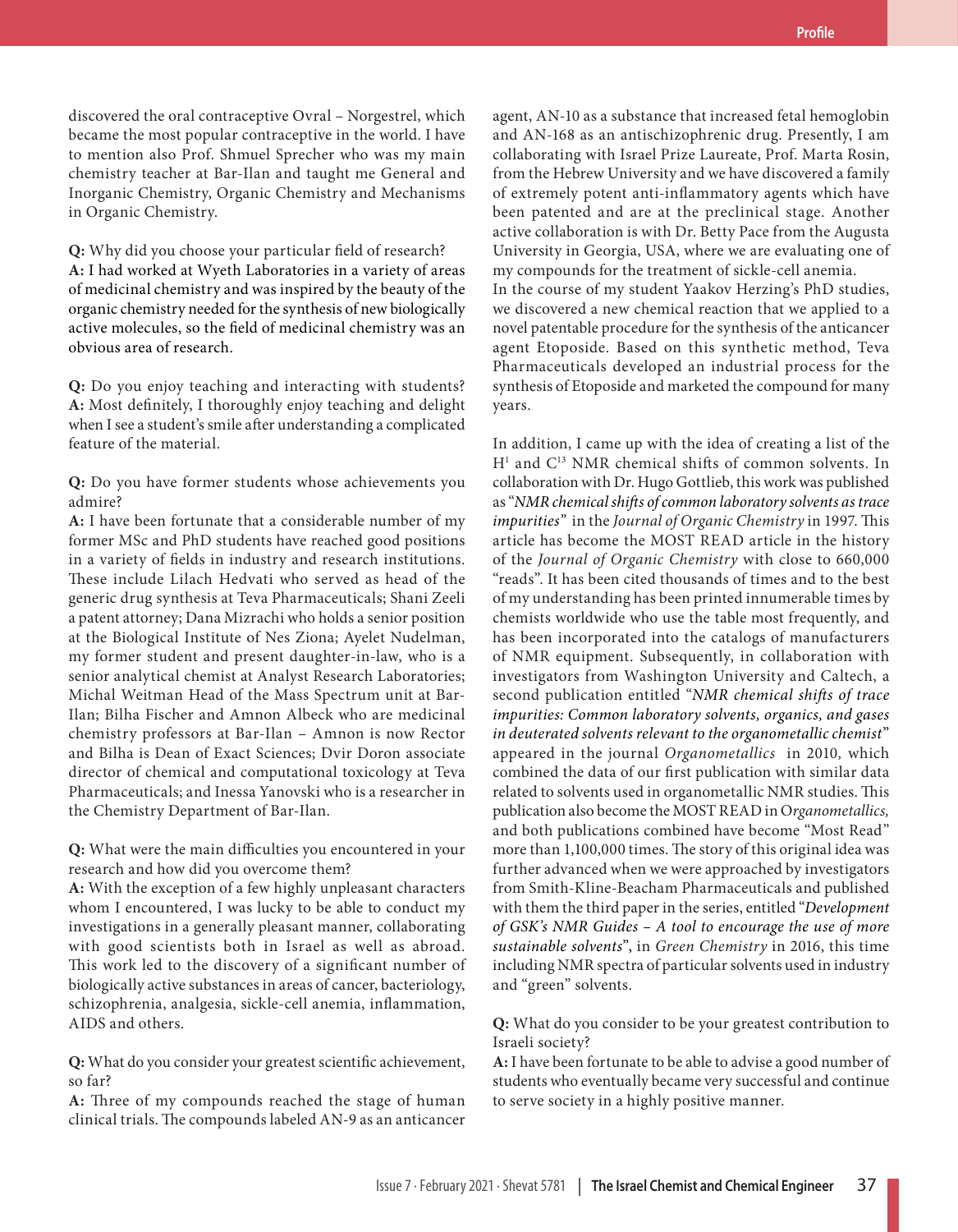**Profile**

discovered the oral contraceptive Ovral – Norgestrel, which became the most popular contraceptive in the world. I have to mention also Prof. Shmuel Sprecher who was my main chemistry teacher at Bar-Ilan and taught me General and Inorganic Chemistry, Organic Chemistry and Mechanisms in Organic Chemistry.

**Q:** Why did you choose your particular field of research? **A:** I had worked at Wyeth Laboratories in a variety of areas of medicinal chemistry and was inspired by the beauty of the organic chemistry needed for the synthesis of new biologically active molecules, so the field of medicinal chemistry was an obvious area of research.

**Q:** Do you enjoy teaching and interacting with students? **A:** Most definitely, I thoroughly enjoy teaching and delight when I see a student's smile after understanding a complicated feature of the material.

**Q:** Do you have former students whose achievements you admire?

**A:** I have been fortunate that a considerable number of my former MSc and PhD students have reached good positions in a variety of fields in industry and research institutions. These include Lilach Hedvati who served as head of the generic drug synthesis at Teva Pharmaceuticals; Shani Zeeli a patent attorney; Dana Mizrachi who holds a senior position at the Biological Institute of Nes Ziona; Ayelet Nudelman, my former student and present daughter-in-law, who is a senior analytical chemist at Analyst Research Laboratories; Michal Weitman Head of the Mass Spectrum unit at Bar-Ilan; Bilha Fischer and Amnon Albeck who are medicinal chemistry professors at Bar-Ilan – Amnon is now Rector and Bilha is Dean of Exact Sciences; Dvir Doron associate director of chemical and computational toxicology at Teva Pharmaceuticals; and Inessa Yanovski who is a researcher in the Chemistry Department of Bar-Ilan.

**Q:** What were the main difficulties you encountered in your research and how did you overcome them?

**A:** With the exception of a few highly unpleasant characters whom I encountered, I was lucky to be able to conduct my investigations in a generally pleasant manner, collaborating with good scientists both in Israel as well as abroad. This work led to the discovery of a significant number of biologically active substances in areas of cancer, bacteriology, schizophrenia, analgesia, sickle-cell anemia, inflammation, AIDS and others.

**Q:** What do you consider your greatest scientific achievement, so far?

**A:** Three of my compounds reached the stage of human clinical trials. The compounds labeled AN-9 as an anticancer

agent, AN-10 as a substance that increased fetal hemoglobin and AN-168 as an antischizophrenic drug. Presently, I am collaborating with Israel Prize Laureate, Prof. Marta Rosin, from the Hebrew University and we have discovered a family of extremely potent anti-inflammatory agents which have been patented and are at the preclinical stage. Another active collaboration is with Dr. Betty Pace from the Augusta University in Georgia, USA, where we are evaluating one of my compounds for the treatment of sickle-cell anemia. In the course of my student Yaakov Herzing's PhD studies, we discovered a new chemical reaction that we applied to a novel patentable procedure for the synthesis of the anticancer agent Etoposide. Based on this synthetic method, Teva Pharmaceuticals developed an industrial process for the

synthesis of Etoposide and marketed the compound for many

years.

In addition, I came up with the idea of creating a list of the H<sup>1</sup> and C<sup>13</sup> NMR chemical shifts of common solvents. In collaboration with Dr. Hugo Gottlieb, this work was published as "*NMR chemical shifts of common laboratory solvents as trace impurities"* in the *Journal of Organic Chemistry* in 1997. This article has become the MOST READ article in the history of the *Journal of Organic Chemistry* with close to 660,000 "reads". It has been cited thousands of times and to the best of my understanding has been printed innumerable times by chemists worldwide who use the table most frequently, and has been incorporated into the catalogs of manufacturers of NMR equipment. Subsequently, in collaboration with investigators from Washington University and Caltech, a second publication entitled "*NMR chemical shifts of trace impurities: Common laboratory solvents, organics, and gases in deuterated solvents relevant to the organometallic chemist*" appeared in the journal *Organometallics* in 2010*,* which combined the data of our first publication with similar data related to solvents used in organometallic NMR studies. This publication also become the MOST READ in O*rganometallics,*  and both publications combined have become "Most Read" more than 1,100,000 times. The story of this original idea was further advanced when we were approached by investigators from Smith-Kline-Beacham Pharmaceuticals and published with them the third paper in the series, entitled "*Development of GSK's NMR Guides – A tool to encourage the use of more sustainable solvents*", in *Green Chemistry* in 2016, this time including NMR spectra of particular solvents used in industry and "green" solvents.

**Q:** What do you consider to be your greatest contribution to Israeli society?

**A:** I have been fortunate to be able to advise a good number of students who eventually became very successful and continue to serve society in a highly positive manner.